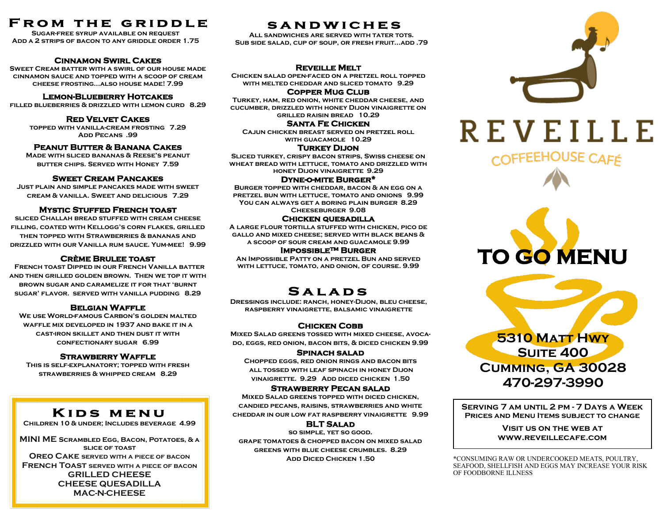# **FROM THE GRIDDLE**

**Sugar-free syrup available on request Add a 2 strips of bacon to any griddle order 1.75**

#### **Cinnamon Swirl Cakes**

**Sweet Cream batter with a swirl of our house made cinnamon sauce and topped with a scoop of cream cheese frosting...also house made! 7.99**

#### **Lemon-Blueberry Hotcakes**

**filled blueberries & drizzled with lemon curd 8.29**

#### **Red Velvet Cakes**

**topped with vanilla-cream frosting 7.29 Add Pecans .99**

#### **Peanut Butter & Banana Cakes**

**Made with sliced bananas & Reese's peanut butter chips. Served with Honey 7.59**

#### **Sweet Cream Pancakes**

**Just plain and simple pancakes made with sweet cream & vanilla. Sweet and delicious 7.29**

#### **Mystic Stuffed French toast**

**sliced Challah bread stuffed with cream cheese filling, coated with Kellogg's corn flakes, grilled then topped with Strawberries & bananas and drizzled with our Vanilla rum sauce. Yum-mee! 9.99**

#### **Crème Brulee toast**

 **French toast Dipped in our French Vanilla batter and then grilled golden brown. Then we top it with brown sugar and caramelize it for that 'burnt sugar' flavor. served with vanilla pudding 8.29** 

#### **Belgian Waffle**

**We use World-famous Carbon's golden malted waffle mix developed in 1937 and bake it in a cast-iron skillet and then dust it with confectionary sugar 6.99** 

#### **Strawberry Waffle**

**This is self-explanatory; topped with fresh strawberries & whipped cream 8.29** 

# KIDS MENU

**Children 10 & under; Includes beverage 4.99**

**MINI ME Scrambled Egg, Bacon, Potatoes, & a slice of toast Oreo Cake served with a piece of bacon French Toast served with a piece of bacon GRILLED CHEESE CHEESE QUESADILLA MAC-N-CHEESE**

## **SANDWICHES**

**All sandwiches are served with tater tots. Sub side salad, cup of soup, or fresh fruit...add .79**

#### **Reveille Melt**

**Chicken salad open-faced on a pretzel roll topped with melted cheddar and sliced tomato 9.29** 

**Copper Mug Club** 

**Turkey, ham, red onion, white cheddar cheese, and cucumber, drizzled with honey Dijon vinaigrette on grilled raisin bread 10.29** 

#### **Santa Fe Chicken**

**Cajun chicken breast served on pretzel roll with guacamole 10.29**

#### **Turkey Dijon**

**Sliced turkey, crispy bacon strips, Swiss cheese on wheat bread with lettuce, tomato and drizzled with honey Dijon vinaigrette 9.29**

#### **Dyne-o-mite Burger\***

**Burger topped with cheddar, bacon & an egg on a pretzel bun with lettuce, tomato and onions 9.99 You can always get a boring plain burger 8.29 Cheeseburger 9.08**

#### **Chicken quesadilla**

**A large flour tortilla stuffed with chicken, pico de gallo and mixed cheese; served with black beans & a scoop of sour cream and guacamole 9.99**

#### **Impossible™ Burger**

**An Impossible Patty on a pretzel Bun and served with lettuce, tomato, and onion, of course. 9.99**

# **SALADS**

**Dressings include: ranch, honey-Dijon, bleu cheese, raspberry vinaigrette, balsamic vinaigrette**

### **Chicken Cobb**

**Mixed Salad greens tossed with mixed cheese, avocado, eggs, red onion, bacon bits, & diced chicken 9.99**

#### **Spinach salad**

**Chopped eggs, red onion rings and bacon bits all tossed with leaf spinach in honey Dijon vinaigrette. 9.29 Add diced chicken 1.50**

#### **Strawberry Pecan salad**

**Mixed Salad greens topped with diced chicken, candied pecans, raisins, strawberries and white cheddar in our low fat raspberry vinaigrette 9.99** 

#### **BLT Salad**

**so simple, yet so good. grape tomatoes & chopped bacon on mixed salad greens with blue cheese crumbles. 8.29**







**Serving 7 am until 2 pm - 7 Days a Week Prices and Menu Items subject to change**

> **Visit us on the web at www.reveillecafe.com**

**Add Diced Chicken 1.50** \*CONSUMING RAW OR UNDERCOOKED MEATS, POULTRY, SEAFOOD, SHELLFISH AND EGGS MAY INCREASE YOUR RISK OF FOODBORNE ILLNESS